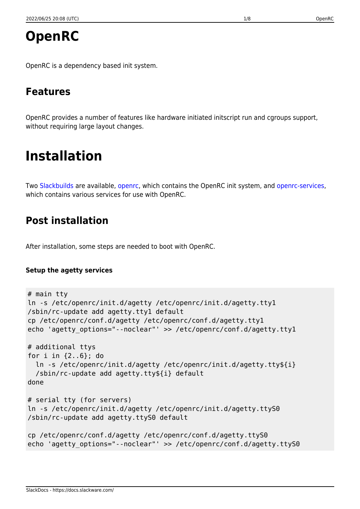OpenRC is a dependency based init system.

# **Features**

OpenRC provides a number of features like hardware initiated initscript run and cgroups support, without requiring large layout changes.

# **Installation**

Two [Slackbuilds](https://docs.slackware.com/slackware:slackbuild_scripts) are available, [openrc](http://slackbuilds.org/repository/14.2/system/openrc/), which contains the OpenRC init system, and [openrc-services](http://slackbuilds.org/repository/14.2/system/openrc-services/), which contains various services for use with OpenRC.

## **Post installation**

After installation, some steps are needed to boot with OpenRC.

#### **Setup the agetty services**

```
# main tty
ln -s /etc/openrc/init.d/agetty /etc/openrc/init.d/agetty.tty1
/sbin/rc-update add agetty.tty1 default
cp /etc/openrc/conf.d/agetty /etc/openrc/conf.d/agetty.tty1
echo 'agetty_options="--noclear"' >> /etc/openrc/conf.d/agetty.tty1
# additional ttys
for i in {2..6}; do
   ln -s /etc/openrc/init.d/agetty /etc/openrc/init.d/agetty.tty${i}
   /sbin/rc-update add agetty.tty${i} default
done
# serial tty (for servers)
ln -s /etc/openrc/init.d/agetty /etc/openrc/init.d/agetty.ttyS0
/sbin/rc-update add agetty.ttyS0 default
cp /etc/openrc/conf.d/agetty /etc/openrc/conf.d/agetty.ttyS0
echo 'agetty options="--noclear"' >> /etc/openrc/conf.d/agetty.ttyS0
```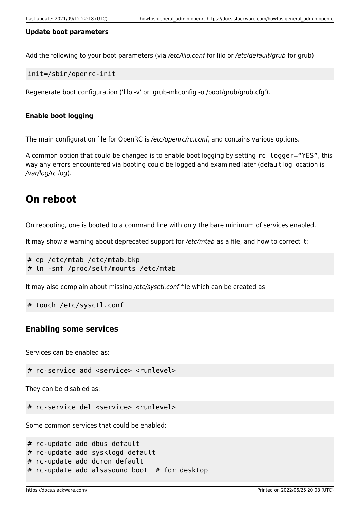#### **Update boot parameters**

Add the following to your boot parameters (via /etc/lilo.conf for lilo or /etc/default/grub for grub):

init=/sbin/openrc-init

Regenerate boot configuration ('lilo -v' or 'grub-mkconfig -o /boot/grub/grub.cfg').

#### **Enable boot logging**

The main configuration file for OpenRC is /etc/openrc/rc.conf, and contains various options.

A common option that could be changed is to enable boot logging by setting rc\_logger="YES", this way any errors encountered via booting could be logged and examined later (default log location is /var/log/rc.log).

### **On reboot**

On rebooting, one is booted to a command line with only the bare minimum of services enabled.

It may show a warning about deprecated support for /etc/mtab as a file, and how to correct it:

```
# cp /etc/mtab /etc/mtab.bkp
# ln -snf /proc/self/mounts /etc/mtab
```
It may also complain about missing /etc/sysctl.conf file which can be created as:

```
# touch /etc/sysctl.conf
```
#### **Enabling some services**

Services can be enabled as:

```
# rc-service add <service> <runlevel>
```
They can be disabled as:

# rc-service del <service> <runlevel>

Some common services that could be enabled:

```
# rc-update add dbus default
# rc-update add sysklogd default
# rc-update add dcron default
# rc-update add alsasound boot # for desktop
```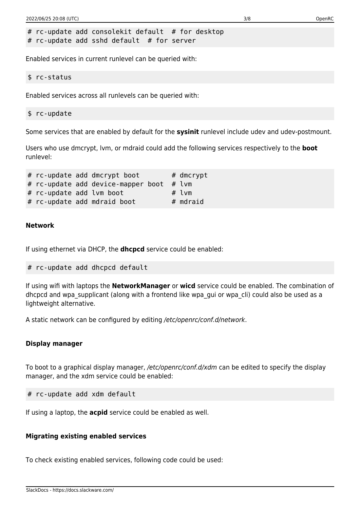# rc-update add consolekit default # for desktop # rc-update add sshd default # for server

Enabled services in current runlevel can be queried with:

```
$ rc-status
```
Enabled services across all runlevels can be queried with:

```
$ rc-update
```
Some services that are enabled by default for the **sysinit** runlevel include udev and udev-postmount.

Users who use dmcrypt, lvm, or mdraid could add the following services respectively to the **boot** runlevel:

 $#$  rc-update add dmcrypt boot  $#$  dmcrypt #  $rc$ -update add device-mapper boot # lym # rc-update add lvm boot # lvm # rc-update add mdraid boot # mdraid

#### **Network**

If using ethernet via DHCP, the **dhcpcd** service could be enabled:

```
# rc-update add dhcpcd default
```
If using wifi with laptops the **NetworkManager** or **wicd** service could be enabled. The combination of dhcpcd and wpa supplicant (along with a frontend like wpa qui or wpa cli) could also be used as a lightweight alternative.

A static network can be configured by editing /etc/openrc/conf.d/network.

#### **Display manager**

To boot to a graphical display manager, /etc/openrc/conf.d/xdm can be edited to specify the display manager, and the xdm service could be enabled:

# rc-update add xdm default

If using a laptop, the **acpid** service could be enabled as well.

#### **Migrating existing enabled services**

To check existing enabled services, following code could be used: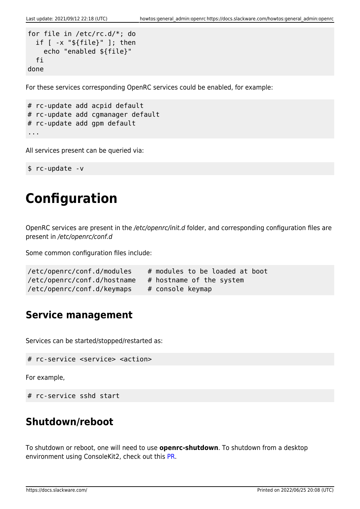```
for file in /etc/rc.d/*; do
   if [ -x "${file}" ]; then
     echo "enabled ${file}"
   fi
done
```
For these services corresponding OpenRC services could be enabled, for example:

```
# rc-update add acpid default
# rc-update add cgmanager default
# rc-update add gpm default
...
```
All services present can be queried via:

\$ rc-update -v

# **Configuration**

OpenRC services are present in the /etc/openrc/init.d folder, and corresponding configuration files are present in /etc/openrc/conf.d

Some common configuration files include:

```
/etc/openrc/conf.d/modules # modules to be loaded at boot
/etc/openrc/conf.d/hostname # hostname of the system
/etc/openrc/conf.d/keymaps # console keymap
```
### **Service management**

Services can be started/stopped/restarted as:

```
# rc-service <service> <action>
```
For example,

```
# rc-service sshd start
```
# **Shutdown/reboot**

To shutdown or reboot, one will need to use **openrc-shutdown**. To shutdown from a desktop environment using ConsoleKit2, check out this [PR](https://github.com/ConsoleKit2/ConsoleKit2/pull/113).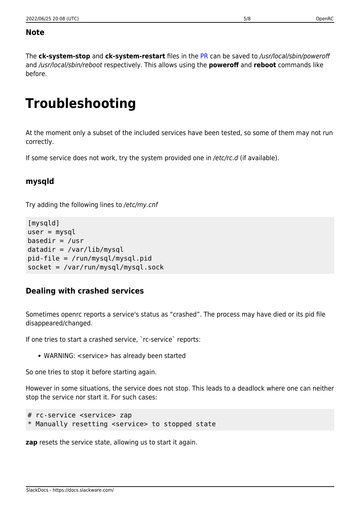#### **Note**

The **ck-system-stop** and **ck-system-restart** files in the [PR](https://github.com/ConsoleKit2/ConsoleKit2/pull/113) can be saved to /usr/local/sbin/poweroff and /usr/local/sbin/reboot respectively. This allows using the **poweroff** and **reboot** commands like before.

# **Troubleshooting**

At the moment only a subset of the included services have been tested, so some of them may not run correctly.

If some service does not work, try the system provided one in /etc/rc.d (if available).

### **mysqld**

Try adding the following lines to /etc/my.cnf

```
[mysqld]
user = mysql
basedir = /usrdatadir = /var/lib/mysglpid-file = /run/mysql/mysql.pid
socket = /var/run/mysql/mysql.sock
```
### **Dealing with crashed services**

Sometimes openrc reports a service's status as "crashed". The process may have died or its pid file disappeared/changed.

If one tries to start a crashed service, `rc-service` reports:

• WARNING: <service> has already been started

So one tries to stop it before starting again.

However in some situations, the service does not stop. This leads to a deadlock where one can neither stop the service nor start it. For such cases:

```
# rc-service <service> zap
* Manually resetting <service> to stopped state
```
**zap** resets the service state, allowing us to start it again.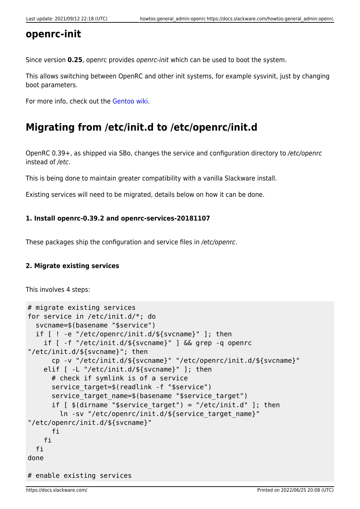### **openrc-init**

Since version **0.25**, openrc provides openrc-init which can be used to boot the system.

This allows switching between OpenRC and other init systems, for example sysvinit, just by changing boot parameters.

For more info, check out the [Gentoo wiki.](https://wiki.gentoo.org/wiki/OpenRC#openrc-init)

### **Migrating from /etc/init.d to /etc/openrc/init.d**

OpenRC 0.39+, as shipped via SBo, changes the service and configuration directory to /etc/openrc instead of /etc.

This is being done to maintain greater compatibility with a vanilla Slackware install.

Existing services will need to be migrated, details below on how it can be done.

#### **1. Install openrc-0.39.2 and openrc-services-20181107**

These packages ship the configuration and service files in /etc/openrc.

#### **2. Migrate existing services**

This involves 4 steps:

```
# migrate existing services
for service in /etc/init.d/*; do
   svcname=$(basename "$service")
   if [ ! -e "/etc/openrc/init.d/${svcname}" ]; then
     if [ -f "/etc/init.d/${svcname}" ] && grep -q openrc
"/etc/init.d/${svcname}"; then
       cp -v "/etc/init.d/${svcname}" "/etc/openrc/init.d/${svcname}"
     elif [ -L "/etc/init.d/${svcname}" ]; then
       # check if symlink is of a service
      service target=$(readlink -f "$service")
      service target name=$(basename "$service target")
      if [ $(dirname "$service target") = "/etc/init.d" ]; then
         ln -sv "/etc/openrc/init.d/${service_target_name}"
"/etc/openrc/init.d/${svcname}"
       fi
     fi
   fi
done
# enable existing services
```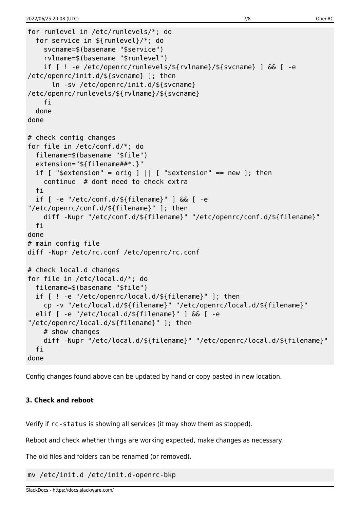```
for runlevel in /etc/runlevels/*; do
   for service in ${runlevel}/*; do
     svcname=$(basename "$service")
     rvlname=$(basename "$runlevel")
     if [ ! -e /etc/openrc/runlevels/${rvlname}/${svcname} ] && [ -e
/etc/openrc/init.d/${svcname} ]; then
       ln -sv /etc/openrc/init.d/${svcname}
/etc/openrc/runlevels/${rvlname}/${svcname}
     fi
   done
done
# check config changes
for file in /etc/conf.d/*; do
   filename=$(basename "$file")
   extension="${filename##*.}"
  if [ "$extension" = orig ] | | [ "$extension" == new ]; then
     continue # dont need to check extra
   fi
   if [ -e "/etc/conf.d/${filename}" ] && [ -e
"/etc/openrc/conf.d/${filename}" ]; then
     diff -Nupr "/etc/conf.d/${filename}" "/etc/openrc/conf.d/${filename}"
   fi
done
# main config file
diff -Nupr /etc/rc.conf /etc/openrc/rc.conf
# check local.d changes
for file in /etc/local.d/*; do
   filename=$(basename "$file")
   if [ ! -e "/etc/openrc/local.d/${filename}" ]; then
     cp -v "/etc/local.d/${filename}" "/etc/openrc/local.d/${filename}"
   elif [ -e "/etc/local.d/${filename}" ] && [ -e
"/etc/openrc/local.d/${filename}" ]; then
     # show changes
     diff -Nupr "/etc/local.d/${filename}" "/etc/openrc/local.d/${filename}"
   fi
done
```
Config changes found above can be updated by hand or copy pasted in new location.

#### **3. Check and reboot**

Verify if rc-status is showing all services (it may show them as stopped).

Reboot and check whether things are working expected, make changes as necessary.

The old files and folders can be renamed (or removed).

mv /etc/init.d /etc/init.d-openrc-bkp